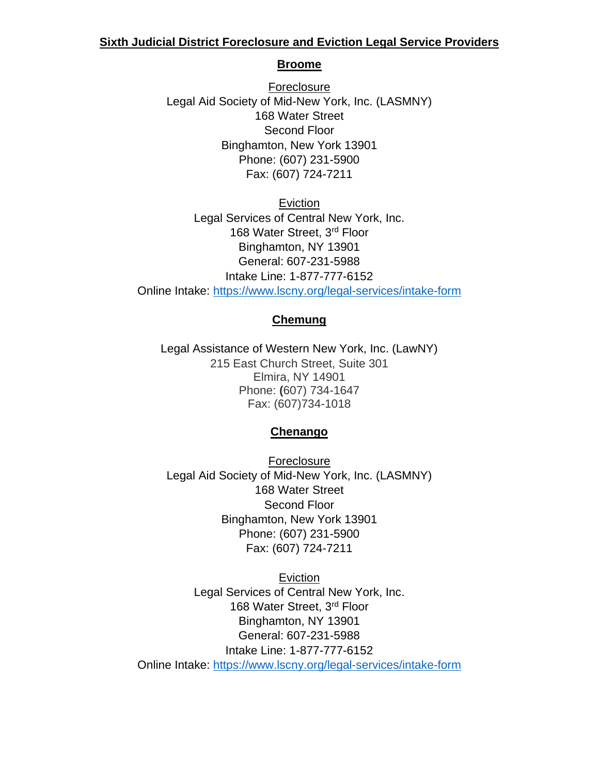# **Sixth Judicial District Foreclosure and Eviction Legal Service Providers**

### **Broome**

Foreclosure Legal Aid Society of Mid-New York, Inc. (LASMNY) 168 Water Street Second Floor Binghamton, New York 13901 Phone: (607) 231-5900 Fax: (607) 724-7211

Eviction Legal Services of Central New York, Inc. 168 Water Street, 3rd Floor Binghamton, NY 13901 General: 607-231-5988 Intake Line: 1-877-777-6152 Online Intake:<https://www.lscny.org/legal-services/intake-form>

# **Chemung**

Legal Assistance of Western New York, Inc. (LawNY) 215 East Church Street, Suite 301 Elmira, NY 14901 Phone: **(**607) 734-1647 Fax: (607)734-1018

# **Chenango**

Foreclosure Legal Aid Society of Mid-New York, Inc. (LASMNY) 168 Water Street Second Floor Binghamton, New York 13901 Phone: (607) 231-5900 Fax: (607) 724-7211

Eviction Legal Services of Central New York, Inc. 168 Water Street, 3rd Floor Binghamton, NY 13901 General: 607-231-5988 Intake Line: 1-877-777-6152 Online Intake:<https://www.lscny.org/legal-services/intake-form>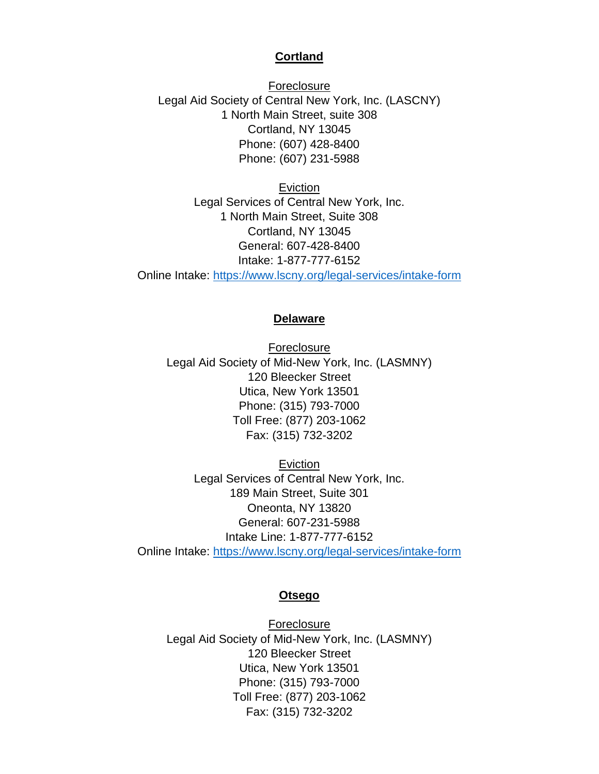### **Cortland**

Foreclosure Legal Aid Society of Central New York, Inc. (LASCNY) 1 North Main Street, suite 308 Cortland, NY 13045 Phone: (607) 428-8400 Phone: (607) 231-5988

Eviction Legal Services of Central New York, Inc. 1 North Main Street, Suite 308 Cortland, NY 13045 General: 607-428-8400 Intake: 1-877-777-6152 Online Intake:<https://www.lscny.org/legal-services/intake-form>

## **Delaware**

**Foreclosure** Legal Aid Society of Mid-New York, Inc. (LASMNY) 120 Bleecker Street Utica, New York 13501 Phone: (315) 793-7000 Toll Free: (877) 203-1062 Fax: (315) 732-3202

Eviction Legal Services of Central New York, Inc. 189 Main Street, Suite 301 Oneonta, NY 13820 General: 607-231-5988 Intake Line: 1-877-777-6152 Online Intake:<https://www.lscny.org/legal-services/intake-form>

#### **Otsego**

Foreclosure Legal Aid Society of Mid-New York, Inc. (LASMNY) 120 Bleecker Street Utica, New York 13501 Phone: (315) 793-7000 Toll Free: (877) 203-1062 Fax: (315) 732-3202